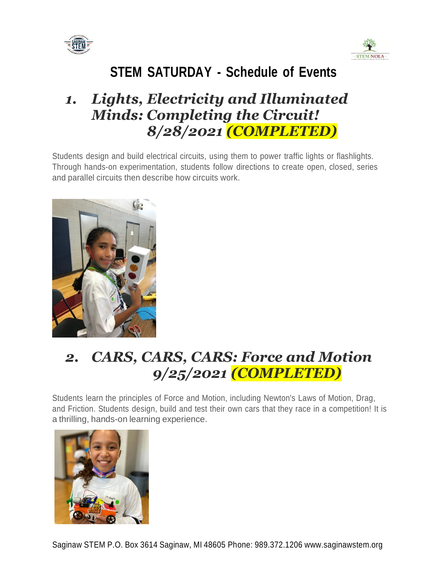



## *1. Lights, Electricity and Illuminated Minds: Completing the Circuit! 8/28/2021 (COMPLETED)*

Students design and build electrical circuits, using them to power traffic lights or flashlights. Through hands-on experimentation, students follow directions to create open, closed, series and parallel circuits then describe how circuits work.



# *2. CARS, CARS, CARS: Force and Motion 9/25/2021 (COMPLETED)*

Students learn the principles of Force and Motion, including Newton's Laws of Motion, Drag, and Friction. Students design, build and test their own cars that they race in a competition! It is a thrilling, hands-on learning experience.

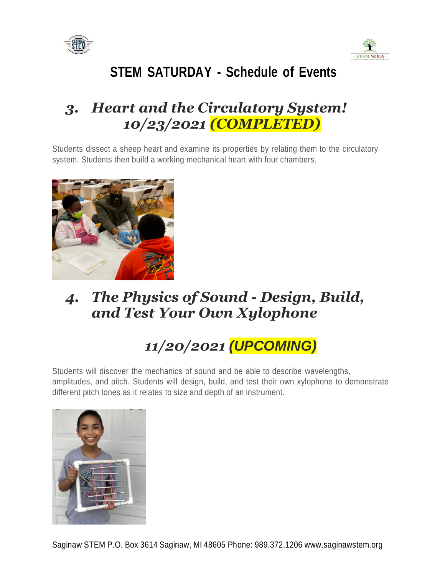



## *3. Heart and the Circulatory System! 10/23/2021 (COMPLETED)*

Students dissect a sheep heart and examine its properties by relating them to the circulatory system. Students then build a working mechanical heart with four chambers.



## *4. The Physics of Sound - Design, Build, and Test Your Own Xylophone*

# *11/20/2021 (UPCOMING)*

Students will discover the mechanics of sound and be able to describe wavelengths, amplitudes, and pitch. Students will design, build, and test their own xylophone to demonstrate different pitch tones as it relates to size and depth of an instrument.

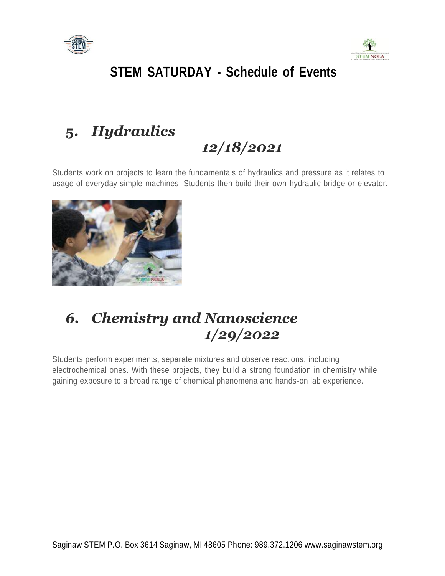



# **5.** *Hydraulics*

# *12/18/2021*

Students work on projects to learn the fundamentals of hydraulics and pressure as it relates to usage of everyday simple machines. Students then build their own hydraulic bridge or elevator.



## *6. Chemistry and Nanoscience 1/29/2022*

Students perform experiments, separate mixtures and observe reactions, including electrochemical ones. With these projects, they build a strong foundation in chemistry while gaining exposure to a broad range of chemical phenomena and hands-on lab experience.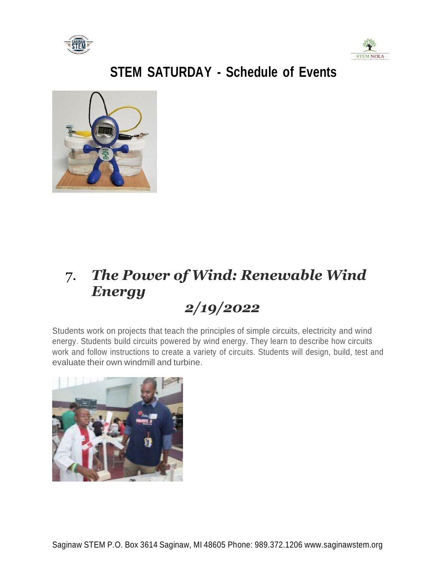





#### 7. *The Power of Wind: Renewable Wind Energy 2/19/2022*

Students work on projects that teach the principles of simple circuits, electricity and wind energy. Students build circuits powered by wind energy. They learn to describe how circuits work and follow instructions to create a variety of circuits. Students will design, build, test and evaluate their own windmill and turbine.

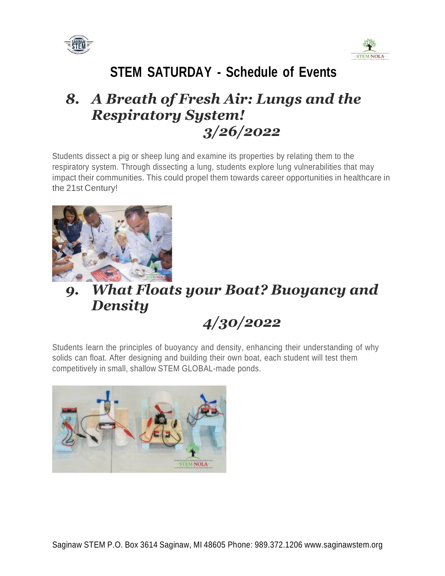



## *8. A Breath of Fresh Air: Lungs and the Respiratory System! 3/26/2022*

Students dissect a pig or sheep lung and examine its properties by relating them to the respiratory system. Through dissecting a lung, students explore lung vulnerabilities that may impact their communities. This could propel them towards career opportunities in healthcare in the 21st Century!



# *9. What Floats your Boat? Buoyancy and Density*

# *4/30/2022*

Students learn the principles of buoyancy and density, enhancing their understanding of why solids can float. After designing and building their own boat, each student will test them competitively in small, shallow STEM GLOBAL-made ponds.